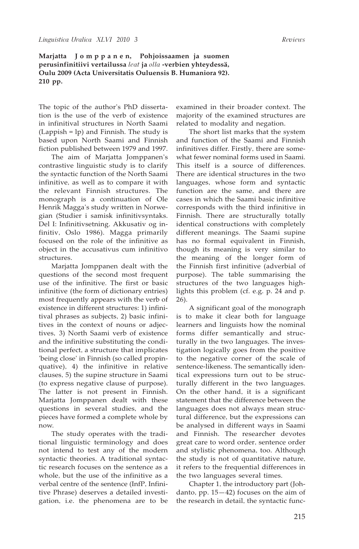**Marjatta J o m p p a n e n, Pohjoissaamen ja suomen perusinfinitiivi vertailussa** *leat* **ja** *olla* **-verbien yhteydessä, Oulu 2009 (Acta Universitatis Ouluensis B. Humaniora 92). 210 pp.**

The topic of the author's PhD dissertation is the use of the verb of existence in infinitival structures in North Saami (Lappish = lp) and Finnish. The study is based upon North Saami and Finnish fiction published between 1979 and 1997.

The aim of Marjatta Jomppanen's contrastive linguistic study is to clarify the syntactic function of the North Saami infinitive, as well as to compare it with the relevant Finnish structures. The monograph is a continuation of Ole Henrik Magga's study written in Norwegian (Studier i samisk infinitivsyntaks. Del I: Infinitivsetning. Akkusativ og infinitiv, Oslo 1986). Magga primarily focused on the role of the infinitive as object in the accusativus cum infinitivo structures.

Marjatta Jomppanen dealt with the questions of the second most frequent use of the infinitive. The first or basic infinitive (the form of dictionary entries) most frequently appears with the verb of existence in different structures: 1) infinitival phrases as subjects, 2) basic infinitives in the context of nouns or adjectives, 3) North Saami verb of existence and the infinitive substituting the conditional perfect, a structure that implicates 'being close' in Finnish (so called propinquative), 4) the infinitive in relative clauses, 5) the supine structure in Saami (to express negative clause of purpose). The latter is not present in Finnish. Marjatta Jomppanen dealt with these questions in several studies, and the pieces have formed a complete whole by now.

The study operates with the traditional linguistic terminology and does not intend to test any of the modern syntactic theories. A traditional syntactic research focuses on the sentence as a whole, but the use of the infinitive as a verbal centre of the sentence (InfP, Infinitive Phrase) deserves a detailed investigation, i.e. the phenomena are to be examined in their broader context. The majority of the examined structures are related to modality and negation.

The short list marks that the system and function of the Saami and Finnish infinitives differ. Firstly, there are somewhat fewer nominal forms used in Saami. This itself is a source of differences. There are identical structures in the two languages, whose form and syntactic function are the same, and there are cases in which the Saami basic infinitive corresponds with the third infinitive in Finnish. There are structurally totally identical constructions with completely different meanings. The Saami supine has no formal equivalent in Finnish, though its meaning is very similar to the meaning of the longer form of the Finnish first infinitive (adverbial of purpose). The table summarising the structures of the two languages highlights this problem (cf. e.g. p. 24 and p. 26).

A significant goal of the monograph is to make it clear both for language learners and linguists how the nominal forms differ semantically and structurally in the two languages. The investigation logically goes from the positive to the negative corner of the scale of sentence-likeness. The semantically identical expressions turn out to be structurally different in the two languages. On the other hand, it is a significant statement that the difference between the languages does not always mean structural difference, but the expressions can be analysed in different ways in Saami and Finnish. The researcher devotes great care to word order, sentence order and stylistic phenomena, too. Although the study is not of quantitative nature, it refers to the frequential differences in the two languages several times.

Chapter 1, the introductory part (Johdanto, pp. 15—42) focuses on the aim of the research in detail, the syntactic func-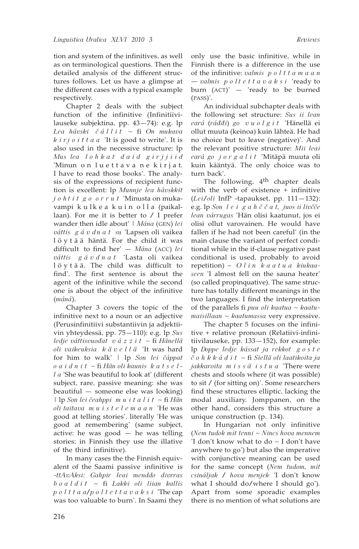tion and system of the infinitives, as well as on terminological questions. Then the detailed analysis of the different structures follows. Let us have a glimpse at the different cases with a typical example respectively.

Chapter 2 deals with the subject function of the infinitive (Infinitiivilauseke subjektina, pp. 43—74): e.g. lp *Lea hávski č á l l i t* ~ fi *On mukava k i r j o i t t a a* 'It is good to write'. It is also used in the necessive structure: lp *Mus lea l o h k a t d a i d g i r j j i i d* 'Minun on luettava ne kirjat. I have to read those books'. The analysis of the expressions of recipient function is excellent: lp *Munnje lea hávskkit j o h t i t g o o r r u t* 'Minusta on mukavampi kulkea kuin olla (paikallaan). For me it is better to / I prefer wander then idle about' | *Mána* (GEN) *lei váttis g á v d n a t su* 'Lapsen oli vaikea l ö y t ä ä häntä. For the child it was difficult to find her' — *Mána* (ACC) *lei váttis g á v d n a t* 'Lasta oli vaikea l ö y t ä ä. The child was difficult to find'. The first sentence is about the agent of the infinitive while the second one is about the object of the infinitive (*máná*).

Chapter 3 covers the topic of the infinitive next to a noun or an adjective (Perusinfinitiivi substantiivin ja adjektiivin yhteydessä, pp. 75—110): e.g. lp *Sus ledje váttisvuođat v á z z i t* ~ fi *Hänellä oli vaikeuksia k ä v e l l ä* 'It was hard for him to walk' | lp *Son lei čáppat o a i d n i t* ~ fi *Hän oli kaunis k a t s e ll a* 'She was beautiful to look at' (different subject, rare, passive meaning: she was beautiful — someone else was looking) | lp *Son lei čeahppi m u i t a l i t ~* fi *Hän oli taitava m u i s t e l e m a a n* 'He was good at telling stories', literally 'He was good at remembering' (same subject, active: he was good — he was telling stories; in Finnish they use the illative of the third infinitive).

In many cases the the Finnish equivalent of the Saami passive infinitive is *-ttAvAksi: Gahpir leai menddo divrras b o a l d i t* ~ fi *Lakki oli liian kallis p o l t t a a*/*p o l t e t t a v a k s i* 'The cap was too valuable to burn'. In Saami they

only use the basic infinitive, while in Finnish there is a difference in the use of the infinitive: *valmis p o l t t a m a a n — valmis p o l t e t t a v a k s i* 'ready to burn (ACT)' — 'ready to be burned (PASS)'.

An individual subchapter deals with the following set structure: *Sus ii lean eará* (*ráđđi*) *go v u o l g i t* 'Hänellä ei ollut muuta (keinoa) kuin lähteä. He had no choice but to leave (negative)'. And the relevant positive structure: *Mii leai eará go j o r g a l i t* 'Mitäpä muuta oli kuin kääntyä. The only choice was to turn back'.

The following, 4<sup>th</sup> chapter deals with the verb of existence + infinitive (*Lei/oli* InfP -tapaukset, pp. 111—132): e.g. lp *Son l e i g a h č č a t, juos ii livčče lean várrugas* 'Hän olisi kaatunut, jos ei olisi ollut varovainen. He would have fallen if he had not been careful' (in the main clause the variant of perfect conditional while in the if-clause negative past conditional is used, probably to avoid repetition)  $\sim$  *O l i n k a a t u a kiukaaseen* 'I almost fell on the sauna heater' (so called propinquative). The same structure has totally different meanings in the two languages. I find the interpretation of the parallels fi *puu oli kaatua ~ kaatumaisillaan ~ kaatumassa* very expressive.

The chapter 5 focuses on the infinitive + relative pronoun (Relatiivi-infinitiivilauseke, pp. 133—152), for example: lp *Doppe ledje kássat ja rekkot g o s t e č o h k k á d i t* ~ fi *Siellä oli laatikoita ja jakkaroita m i s s ä i s t u a* 'There were chests and stools where (it was possible) to sit / (for sitting on)'. Some researchers find these structures elliptic, lacking the modal auxiliary. Jomppanen, on the other hand, considers this structure a unique construction (p. 134).

In Hungarian not only infinitive (*Nem tudok mit tenni ~ Nincs hova mennem* 'I don't know what to do ~ I don't have anywhere to go') but also the imperative with conjunctive meaning can be used for the same concept (*Nem tudom, mit csináljak / hova menjek* 'I don't know what I should do/where I should go')*.* Apart from some sporadic examples there is no mention of what solutions are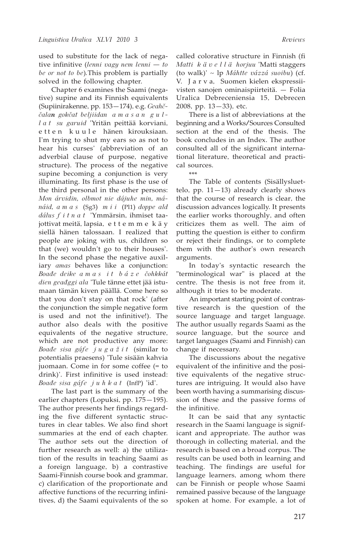used to substitute for the lack of negative infinitive (*lenni vagy nem lenni — to be or not to be*)*.*This problem is partially solved in the following chapter.

Chapter 6 examines the Saami (negative) supine and its Finnish equivalents (Supiinirakenne, pp. 153—174), e.g. *Geahččalan gokčat beljiidan a m a s a n g u ll a t su garuid* 'Yritän peittää korviani, etten kuule hänen kirouksiaan. I'm trying to shut my ears so as not to hear his curses' (abbreviation of an adverbial clause of purpose, negative structure). The process of the negative supine becoming a conjunction is very illuminating. Its first phase is the use of the third personal in the other persons: *Mon árvidin, olbmot nie dájuhe min, mánáid, a m a s* (Sg3) *m i i* (Pl1) *doppe ald dálus f i t n a t* 'Ymmärsin, ihmiset taajottivat meitä, lapsia, e t t e m m e k ä y siellä hänen talossaan. I realized that people are joking with us, children so that (we) wouldn't go to their houses'. In the second phase the negative auxiliary *amas* behaves like a conjunction: *Boađe deike a m a s i t b á z e čohkkát dien geađggi ala* 'Tule tänne ettet jää istumaan tämän kiven päällä. Come here so that you don't stay on that rock' (after the conjunction the simple negative form is used and not the infinitive!). The author also deals with the positive equivalents of the negative structure, which are not productive any more: *Boađe sisa gáfe j u g a ž i t* (similar to potentialis praesens) 'Tule sisään kahvia juomaan. Come in for some coffee (= to drink)'. First infinitive is used instead: *Boađe sisa gáfe j u h k a t* (InfP) 'id'.

The last part is the summary of the earlier chapters (Lopuksi, pp. 175—195). The author presents her findings regarding the five different syntactic structures in clear tables. We also find short summaries at the end of each chapter. The author sets out the direction of further research as well: a) the utilization of the results in teaching Saami as a foreign language, b) a contrastive Saami-Finnish course book and grammar, c) clarification of the proportionate and affective functions of the recurring infinitives, d) the Saami equivalents of the so

called colorative structure in Finnish (fi *Matti k ä v e l l ä horjuu* 'Matti staggers (to walk)' ~ lp *Máhtte vázzá suoibu*) (cf. V. J a r v a, Suomen kielen ekspressiivisten sanojen ominaispiirteitä. — Folia Uralica Debreceniensia 15, Debrecen 2008, pp. 13—33), etc.

There is a list of abbreviations at the beginning and a Works/Sources Consulted section at the end of the thesis. The book concludes in an Index. The author consulted all of the significant international literature, theoretical and practical sources.

\*\*\*

The Table of contents (Sisällysluettelo, pp.  $11-13$ ) already clearly shows that the course of research is clear, the discussion advances logically. It presents the earlier works thoroughly, and often criticizes them as well. The aim of putting the question is either to confirm or reject their findings, or to complete them with the author's own research arguments.

In today's syntactic research the "terminological war" is placed at the centre. The thesis is not free from it, although it tries to be moderate.

An important starting point of contrastive research is the question of the source language and target language. The author usually regards Saami as the source language, but the source and target languages (Saami and Finnish) can change if necessary.

The discussions about the negative equivalent of the infinitive and the positive equivalents of the negative structures are intriguing. It would also have been worth having a summarising discussion of these and the passive forms of the infinitive.

It can be said that any syntactic research in the Saami language is significant and appropriate. The author was thorough in collecting material, and the research is based on a broad corpus. The results can be used both in learning and teaching. The findings are useful for language learners, among whom there can be Finnish or people whose Saami remained passive because of the language spoken at home. For example, a lot of